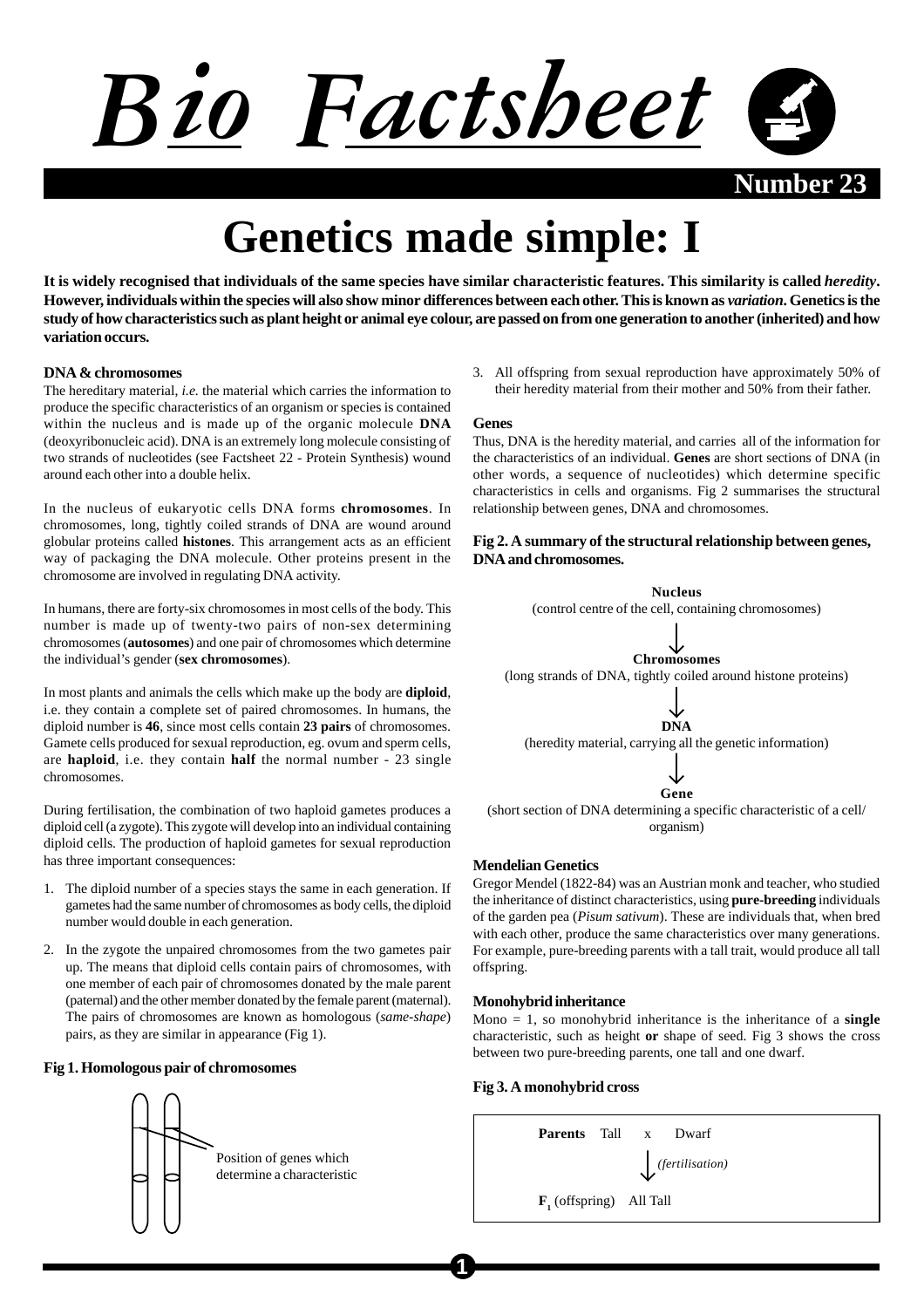



# **Genetics made simple: I**

**It is widely recognised that individuals of the same species have similar characteristic features. This similarity is called** *heredity***. However, individuals within the species will also show minor differences between each other. This is known as** *variation***. Genetics is the study of how characteristics such as plant height or animal eye colour, are passed on from one generation to another (inherited) and how variation occurs.**

#### **DNA & chromosomes**

The hereditary material, *i.e.* the material which carries the information to produce the specific characteristics of an organism or species is contained within the nucleus and is made up of the organic molecule **DNA** (deoxyribonucleic acid). DNA is an extremely long molecule consisting of two strands of nucleotides (see Factsheet 22 - Protein Synthesis) wound around each other into a double helix.

In the nucleus of eukaryotic cells DNA forms **chromosomes**. In chromosomes, long, tightly coiled strands of DNA are wound around globular proteins called **histones**. This arrangement acts as an efficient way of packaging the DNA molecule. Other proteins present in the chromosome are involved in regulating DNA activity.

In humans, there are forty-six chromosomes in most cells of the body. This number is made up of twenty-two pairs of non-sex determining chromosomes (**autosomes**) and one pair of chromosomes which determine the individual's gender (**sex chromosomes**).

In most plants and animals the cells which make up the body are **diploid**, i.e. they contain a complete set of paired chromosomes. In humans, the diploid number is **46**, since most cells contain **23 pairs** of chromosomes. Gamete cells produced for sexual reproduction, eg. ovum and sperm cells, are **haploid**, i.e. they contain **half** the normal number - 23 single chromosomes.

During fertilisation, the combination of two haploid gametes produces a diploid cell (a zygote). This zygote will develop into an individual containing diploid cells. The production of haploid gametes for sexual reproduction has three important consequences:

- 1. The diploid number of a species stays the same in each generation. If gametes had the same number of chromosomes as body cells, the diploid number would double in each generation.
- 2. In the zygote the unpaired chromosomes from the two gametes pair up. The means that diploid cells contain pairs of chromosomes, with one member of each pair of chromosomes donated by the male parent (paternal) and the other member donated by the female parent (maternal). The pairs of chromosomes are known as homologous (*same-shape*) pairs, as they are similar in appearance (Fig 1).

#### **Fig 1. Homologous pair of chromosomes**



3. All offspring from sexual reproduction have approximately 50% of their heredity material from their mother and 50% from their father.

#### **Genes**

Thus, DNA is the heredity material, and carries all of the information for the characteristics of an individual. **Genes** are short sections of DNA (in other words, a sequence of nucleotides) which determine specific characteristics in cells and organisms. Fig 2 summarises the structural relationship between genes, DNA and chromosomes.

# **Fig 2. A summary of the structural relationship between genes, DNA and chromosomes.**



# **Mendelian Genetics**

Gregor Mendel (1822-84) was an Austrian monk and teacher, who studied the inheritance of distinct characteristics, using **pure-breeding** individuals of the garden pea (*Pisum sativum*). These are individuals that, when bred with each other, produce the same characteristics over many generations. For example, pure-breeding parents with a tall trait, would produce all tall offspring.

#### **Monohybrid inheritance**

Mono = 1, so monohybrid inheritance is the inheritance of a **single** characteristic, such as height **or** shape of seed. Fig 3 shows the cross between two pure-breeding parents, one tall and one dwarf.

#### **Fig 3. A monohybrid cross**

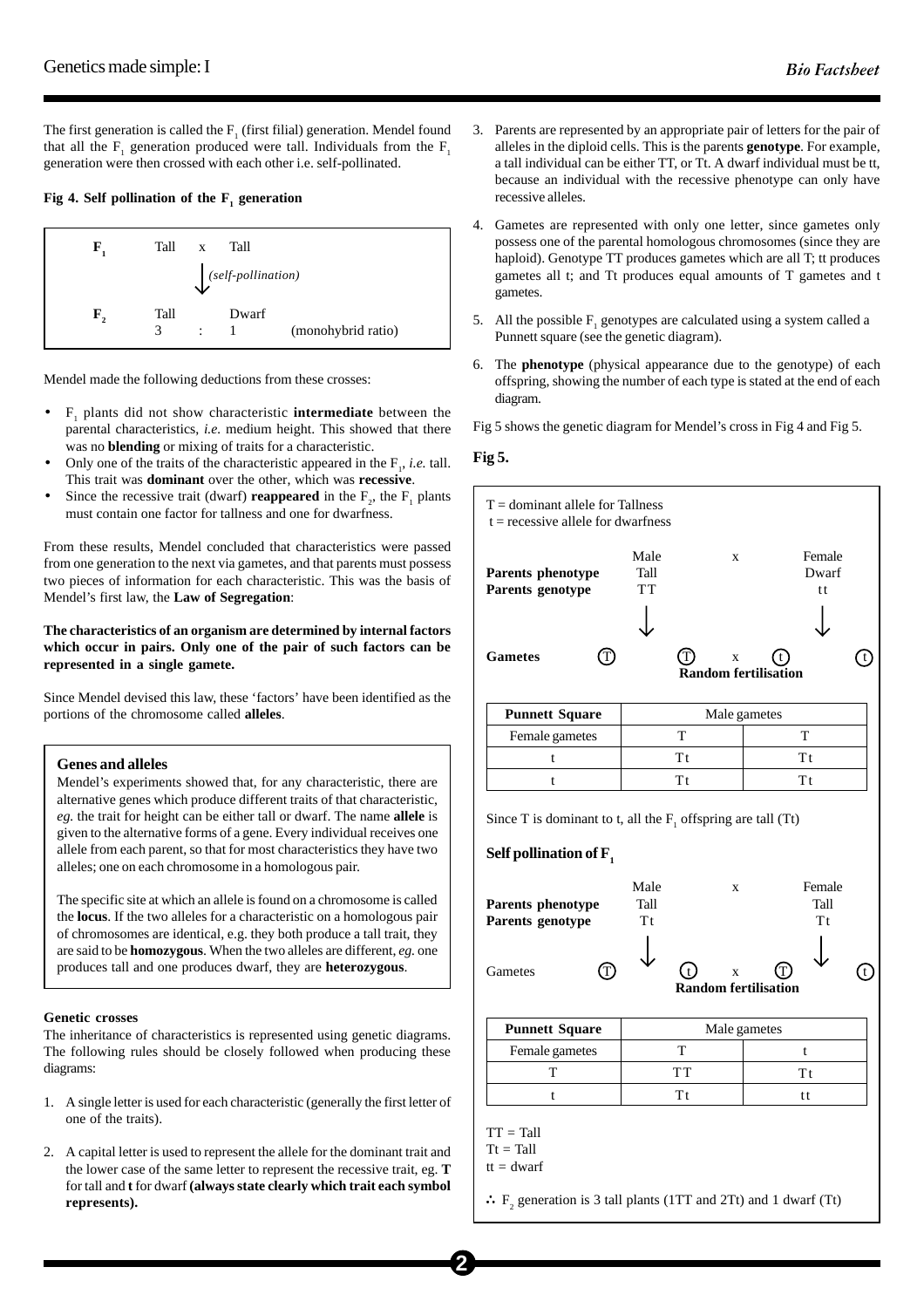The first generation is called the  $F_1$  (first filial) generation. Mendel found that all the  $F_1$  generation produced were tall. Individuals from the  $F_1$ generation were then crossed with each other i.e. self-pollinated.

# Fig 4. Self pollination of the  $\mathbf{F}_1$  generation



Mendel made the following deductions from these crosses:

- F1 plants did not show characteristic **intermediate** between the parental characteristics, *i.e.* medium height. This showed that there was no **blending** or mixing of traits for a characteristic.
- Only one of the traits of the characteristic appeared in the  $F_1$ , *i.e.* tall. This trait was **dominant** over the other, which was **recessive**.
- Since the recessive trait (dwarf) **reappeared** in the  $F_2$ , the  $F_1$  plants must contain one factor for tallness and one for dwarfness.

From these results, Mendel concluded that characteristics were passed from one generation to the next via gametes, and that parents must possess two pieces of information for each characteristic. This was the basis of Mendel's first law, the **Law of Segregation**:

# **The characteristics of an organism are determined by internal factors which occur in pairs. Only one of the pair of such factors can be represented in a single gamete.**

Since Mendel devised this law, these 'factors' have been identified as the portions of the chromosome called **alleles**.

# **Genes and alleles**

Mendel's experiments showed that, for any characteristic, there are alternative genes which produce different traits of that characteristic, *eg.* the trait for height can be either tall or dwarf. The name **allele** is given to the alternative forms of a gene. Every individual receives one allele from each parent, so that for most characteristics they have two alleles; one on each chromosome in a homologous pair.

The specific site at which an allele is found on a chromosome is called the **locus**. If the two alleles for a characteristic on a homologous pair of chromosomes are identical, e.g. they both produce a tall trait, they are said to be **homozygous**. When the two alleles are different, *eg.* one produces tall and one produces dwarf, they are **heterozygous**.

# **Genetic crosses**

The inheritance of characteristics is represented using genetic diagrams. The following rules should be closely followed when producing these diagrams:

- 1. A single letter is used for each characteristic (generally the first letter of one of the traits).
- 2. A capital letter is used to represent the allele for the dominant trait and the lower case of the same letter to represent the recessive trait, eg. **T** for tall and **t** for dwarf **(always state clearly which trait each symbol represents).**
- 3. Parents are represented by an appropriate pair of letters for the pair of alleles in the diploid cells. This is the parents **genotype**. For example, a tall individual can be either TT, or Tt. A dwarf individual must be tt, because an individual with the recessive phenotype can only have recessive alleles.
- 4. Gametes are represented with only one letter, since gametes only possess one of the parental homologous chromosomes (since they are haploid). Genotype TT produces gametes which are all T; tt produces gametes all t; and Tt produces equal amounts of T gametes and t gametes.
- 5. All the possible  $F_1$  genotypes are calculated using a system called a Punnett square (see the genetic diagram).
- 6. The **phenotype** (physical appearance due to the genotype) of each offspring, showing the number of each type is stated at the end of each diagram.

Fig 5 shows the genetic diagram for Mendel's cross in Fig 4 and Fig 5.

# **Fig 5.**



 $tt = dwarf$ 

∴  $F_2$  generation is 3 tall plants (1TT and 2Tt) and 1 dwarf (Tt)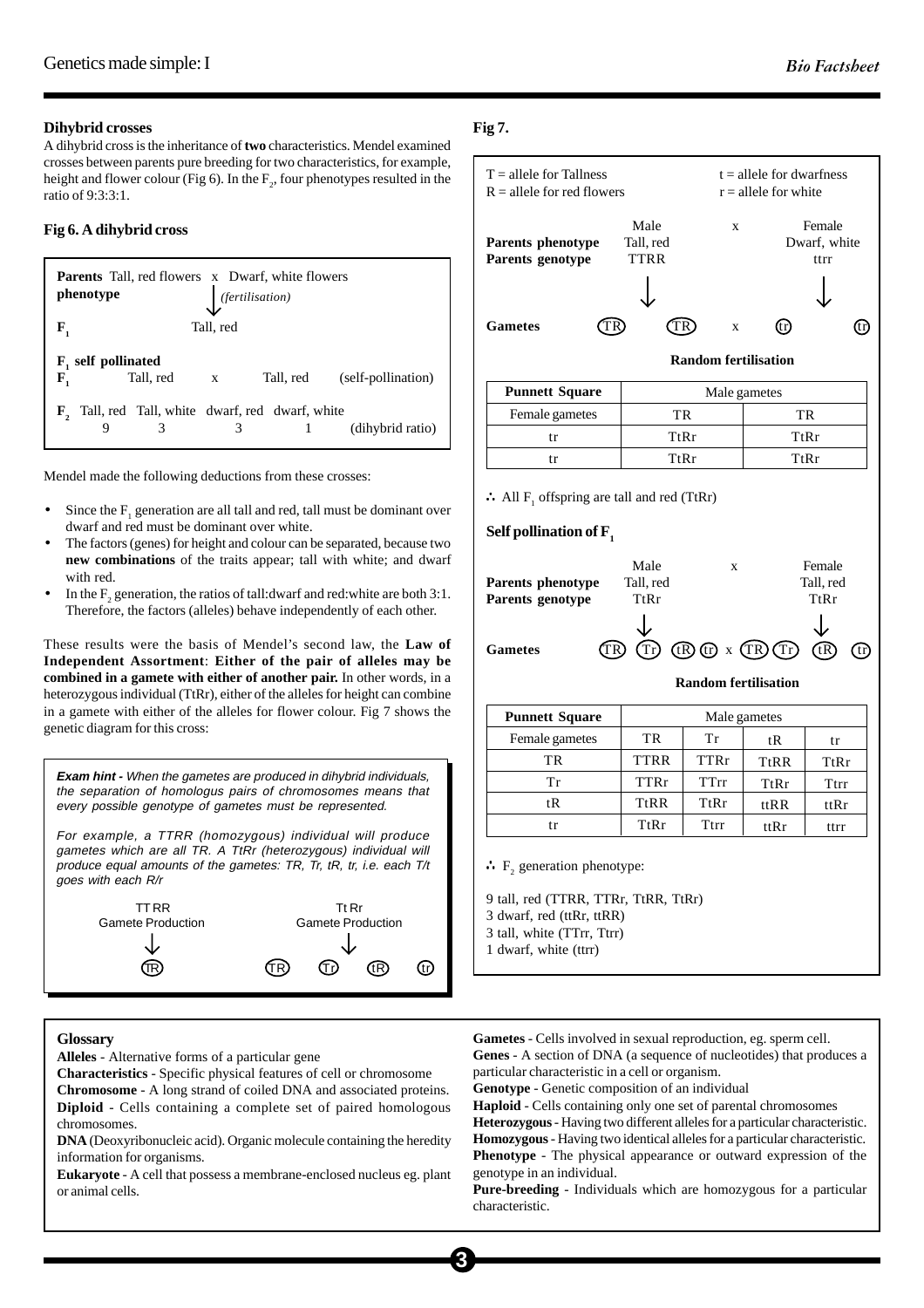# **Dihybrid crosses**

A dihybrid cross is the inheritance of **two** characteristics. Mendel examined crosses between parents pure breeding for two characteristics, for example, height and flower colour (Fig 6). In the  $F_2$ , four phenotypes resulted in the ratio of 9:3:3:1.

# **Fig 6. A dihybrid cross**



Mendel made the following deductions from these crosses:

- Since the  $F_1$  generation are all tall and red, tall must be dominant over dwarf and red must be dominant over white.
- The factors (genes) for height and colour can be separated, because two **new combinations** of the traits appear; tall with white; and dwarf with red.
- In the  $F_2$  generation, the ratios of tall:dwarf and red:white are both 3:1. Therefore, the factors (alleles) behave independently of each other.

These results were the basis of Mendel's second law, the **Law of Independent Assortment**: **Either of the pair of alleles may be combined in a gamete with either of another pair.** In other words, in a heterozygous individual (TtRr), either of the alleles for height can combine in a gamete with either of the alleles for flower colour. Fig 7 shows the **Punnett Square** Male gametes Male gametes



# **Glossary**

**Alleles** - Alternative forms of a particular gene

**Characteristics** - Specific physical features of cell or chromosome **Chromosome** - A long strand of coiled DNA and associated proteins. **Diploid** - Cells containing a complete set of paired homologous chromosomes.

**DNA** (Deoxyribonucleic acid). Organic molecule containing the heredity information for organisms.

**Eukaryote** - A cell that possess a membrane-enclosed nucleus eg. plant or animal cells.

# **Fig 7.**



| <b>Punnett Square</b> | Male gametes |            |  |
|-----------------------|--------------|------------|--|
| Female gametes        | TR.          | ТR         |  |
|                       | $T$ f $Rr$   | $T$ t $Rr$ |  |
|                       | TtRr         | $T$ f $Rr$ |  |

∴ All  $F_1$  offspring are tall and red (TtRr)

Self pollination of F<sub>1</sub>

|                   | Male      | X                       | Female    |
|-------------------|-----------|-------------------------|-----------|
| Parents phenotype | Tall, red |                         | Tall, red |
| Parents genotype  | TtRr      |                         | TtRr      |
|                   |           |                         |           |
| <b>Gametes</b>    |           | $f(R)$ (tr) x (TR) (Tr) |           |

# **Random fertilisation**

| <b>Punnett Square</b> | Male gametes |             |      |      |
|-----------------------|--------------|-------------|------|------|
| Female gametes        | TR           | Тr          | tR   | tr   |
| TR                    | <b>TTRR</b>  | <b>TTRr</b> | TtRR | TtRr |
| Тr                    | <b>TTRr</b>  | TTrr        | TtRr | Ttrr |
| tR                    | TtRR         | TtRr        | ttRR | ttRr |
|                       | TtRr         | Ttrr        | ttRr | ttrr |

∴  $F_2$  generation phenotype:

9 tall, red (TTRR, TTRr, TtRR, TtRr) 3 dwarf, red (ttRr, ttRR) 3 tall, white (TTrr, Ttrr) 1 dwarf, white (ttrr)

**Gametes** - Cells involved in sexual reproduction, eg. sperm cell. **Genes** - A section of DNA (a sequence of nucleotides) that produces a particular characteristic in a cell or organism.

**Genotype** - Genetic composition of an individual

**Haploid** - Cells containing only one set of parental chromosomes **Heterozygous** - Having two different alleles for a particular characteristic. **Homozygous** - Having two identical alleles for a particular characteristic. **Phenotype** - The physical appearance or outward expression of the genotype in an individual.

**Pure-breeding** - Individuals which are homozygous for a particular characteristic.